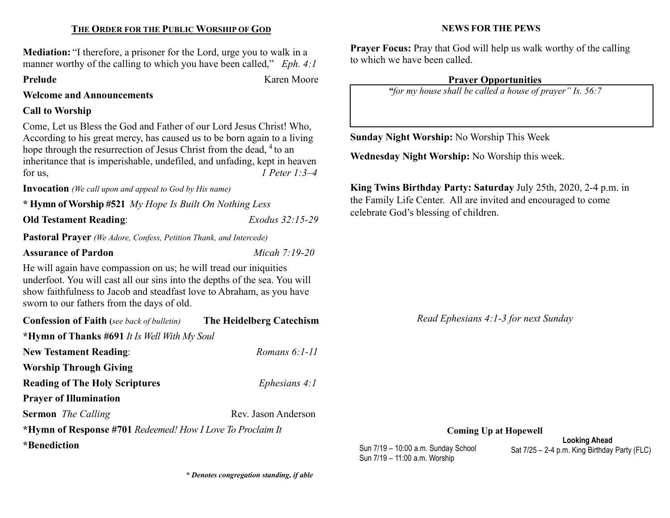# THE ORDER FOR THE PUBLIC WORSHIP OF GOD

Mediation: "I therefore, a prisoner for the Lord, urge you to walk in a manner worthy of the calling to which you have been called,"  $Eph. 4:1$ 

Prelude Karen Moore

Welcome and Announcements

# Call to Worship

Come, Let us Bless the God and Father of our Lord Jesus Christ! Who, According to his great mercy, has caused us to be born again to a living hope through the resurrection of Jesus Christ from the dead, <sup>4</sup> to an inheritance that is imperishable, undefiled, and unfading, kept in heaven for us,  $\qquad \qquad$  1 Peter 1:3–4

Invocation (We call upon and appeal to God by His name)

\* Hymn of Worship #521 My Hope Is Built On Nothing Less

Old Testament Reading: Exodus 32:15-29

Pastoral Prayer (We Adore, Confess, Petition Thank, and Intercede)

# Assurance of Pardon Micah 7:19-20

He will again have compassion on us; he will tread our iniquities underfoot. You will cast all our sins into the depths of the sea. You will show faithfulness to Jacob and steadfast love to Abraham, as you have sworn to our fathers from the days of old.

| <b>Confession of Faith</b> (see back of bulletin)          | The Heidelberg Catechism |  |  |
|------------------------------------------------------------|--------------------------|--|--|
| *Hymn of Thanks #691 It Is Well With My Soul               |                          |  |  |
| <b>New Testament Reading:</b>                              | Romans 6:1-11            |  |  |
| <b>Worship Through Giving</b>                              |                          |  |  |
| <b>Reading of The Holy Scriptures</b>                      | Ephesians $4:1$          |  |  |
| <b>Prayer of Illumination</b>                              |                          |  |  |
| <b>Sermon</b> <i>The Calling</i>                           | Rev. Jason Anderson      |  |  |
| *Hymn of Response #701 Redeemed! How I Love To Proclaim It |                          |  |  |
| <i>*</i> Benediction                                       |                          |  |  |

# NEWS FOR THE PEWS

Prayer Focus: Pray that God will help us walk worthy of the calling to which we have been called.

# Prayer Opportunities

"for my house shall be called a house of prayer" Is. 56:7

Sunday Night Worship: No Worship This Week

Wednesday Night Worship: No Worship this week.

King Twins Birthday Party: Saturday July 25th, 2020, 2-4 p.m. in the Family Life Center. All are invited and encouraged to come celebrate God's blessing of children.

Read Ephesians 4:1-3 for next Sunday

Coming Up at Hopewell

Sun 7/19 – 11:00 a.m. Worship

Looking Ahead Sun 7/19 – 10:00 a.m. Sunday School Sat 7/25 – 2-4 p.m. King Birthday Party (FLC)